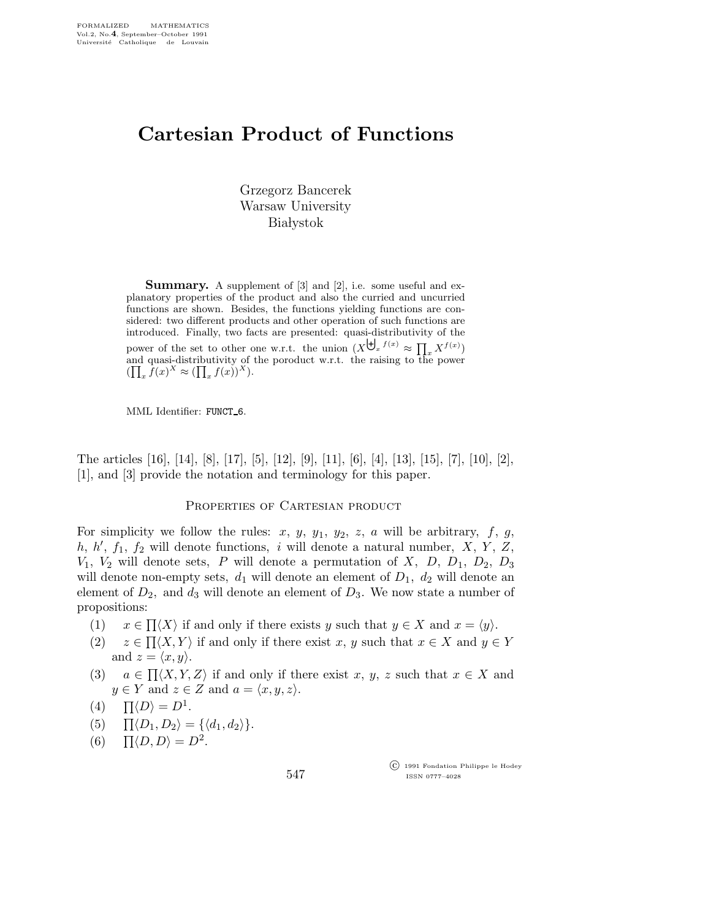# Cartesian Product of Functions

Grzegorz Bancerek Warsaw University **Białystok** 

Summary. A supplement of [3] and [2], i.e. some useful and explanatory properties of the product and also the curried and uncurried functions are shown. Besides, the functions yielding functions are considered: two different products and other operation of such functions are introduced. Finally, two facts are presented: quasi-distributivity of the power of the set to other one w.r.t. the union  $(X^{\biguplus_x f(x)} \approx \prod_x X^{f(x)})$ and quasi-distributivity of the poroduct w.r.t. the raising to the power  $(\prod_x \hat{f}(x)^X \approx (\prod_x f(x))^X).$ 

MML Identifier: FUNCT<sub>-6</sub>.

The articles [16], [14], [8], [17], [5], [12], [9], [11], [6], [4], [13], [15], [7], [10], [2], [1], and [3] provide the notation and terminology for this paper.

#### PROPERTIES OF CARTESIAN PRODUCT

For simplicity we follow the rules: x, y,  $y_1$ ,  $y_2$ , z, a will be arbitrary, f, g, h,  $h'$ ,  $f_1$ ,  $f_2$  will denote functions, i will denote a natural number,  $X$ ,  $Y$ ,  $Z$ ,  $V_1$ ,  $V_2$  will denote sets, P will denote a permutation of X, D, D<sub>1</sub>, D<sub>2</sub>, D<sub>3</sub> will denote non-empty sets,  $d_1$  will denote an element of  $D_1$ ,  $d_2$  will denote an element of  $D_2$ , and  $d_3$  will denote an element of  $D_3$ . We now state a number of propositions:

- (1)  $x \in \Pi \langle X \rangle$  if and only if there exists y such that  $y \in X$  and  $x = \langle y \rangle$ .
- $(2)$  $\Pi\langle X, Y \rangle$  if and only if there exist x, y such that  $x \in X$  and  $y \in Y$ and  $z = \langle x, y \rangle$ .
- (3)  $a \in \Pi \langle X, Y, Z \rangle$  if and only if there exist x, y, z such that  $x \in X$  and  $y \in Y$  and  $z \in Z$  and  $a = \langle x, y, z \rangle$ .
- (4)  $\Pi \langle D \rangle = D^1$ .
- (5)  $\Pi \langle D_1, D_2 \rangle = {\langle \langle d_1, d_2 \rangle \}$ .
- (6)  $\Pi \langle D, D \rangle = D^2$ .

 c 1991 Fondation Philippe le Hodey ISSN 0777–4028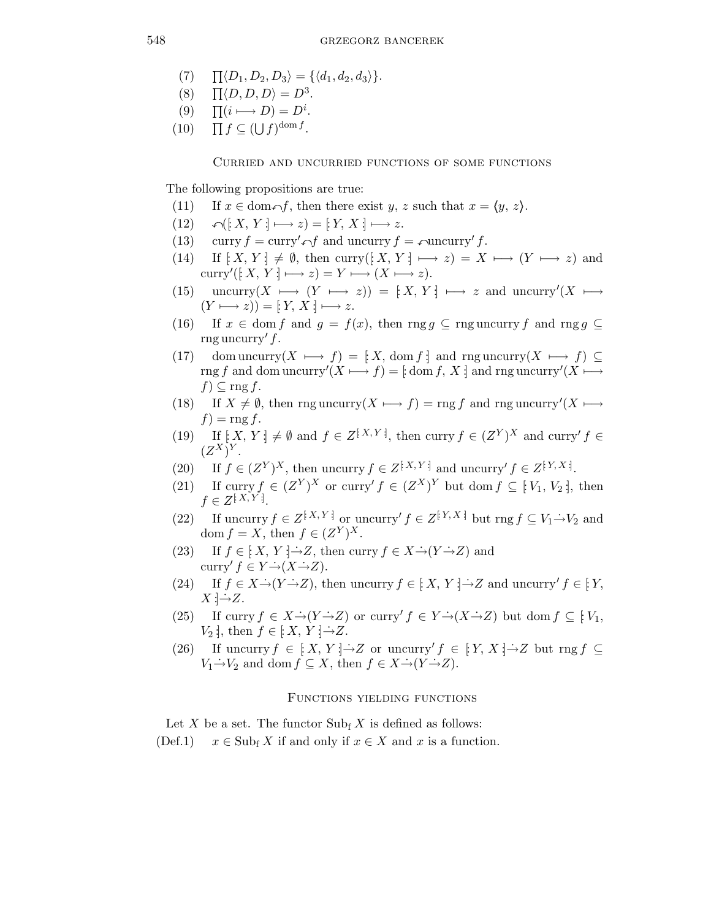- $(7)$  $\Pi\langle D_1, D_2, D_3\rangle = \{\langle d_1, d_2, d_3\rangle\}.$
- $(8)$  $\langle D, D, D \rangle = D^3.$
- $(9)$  $(i \rightarrow D) = D^i$ .
- $(10)$  $f \subseteq (\bigcup f)^{\text{dom }f}.$

#### Curried and uncurried functions of some functions

The following propositions are true:

- (11) If  $x \in \text{dom} \cap f$ , then there exist  $y, z$  such that  $x = \langle y, z \rangle$ .
- (12)  $\bigcap (X, Y] \longmapsto z$ ) = [ $Y, X$  :]  $\longmapsto z$ .
- (13) curry  $f = \text{curry}' \cap f$  and uncurry  $f = \text{query}' f$ .
- (14) If  $[X, Y] \neq \emptyset$ , then curry( $[X, Y] \mapsto z$ ) =  $X \mapsto (Y \mapsto z)$  and curry'( $[X, Y] \longmapsto z$ ) =  $Y \longmapsto (X \longmapsto z)$ .
- (15) uncurry(X  $\longmapsto$   $(Y \longmapsto z)$ ) = [X, Y :]  $\longmapsto z$  and uncurry'(X  $\longmapsto$  $(Y \longmapsto z)) = [Y, X] \longmapsto z.$
- (16) If  $x \in \text{dom } f$  and  $g = f(x)$ , then rng  $g \subseteq \text{rng}$  uncurry f and rng  $g \subseteq$ rng uncurry'  $f$ .
- (17) dom uncurry( $X \mapsto f$ ) = [ $X$ , dom f :] and rng uncurry( $X \mapsto f$ )  $\subseteq$ rng f and dom uncurry'(X  $\longmapsto f$ ) = [: dom f, X :] and rng uncurry'(X  $\longmapsto$  $f) \subseteq \text{rng } f.$
- (18) If  $X \neq \emptyset$ , then rng uncurry $(X \mapsto f) = \text{rng } f$  and rng uncurry' $(X \mapsto f) = \text{rng } f$  $f$ ) = rng f.
- (19) If  $[X, Y] \neq \emptyset$  and  $f \in Z^{\{X, Y\}}$ , then curry  $f \in (Z^Y)^X$  and curry'  $f \in$  $(Z^X)^Y$ .
- (20) If  $f \in (Z^Y)^X$ , then uncurry  $f \in Z^{[X,Y]}$  and uncurry'  $f \in Z^{[Y,X]}$ .
- (21) If curry  $f \in (Z^Y)^X$  or curry'  $f \in (Z^X)^Y$  but dom  $f \subseteq [V_1, V_2]$ , then  $f \in Z^{[X,Y]}$ .
- (22) If uncurry  $f \in Z^{\{X, Y\}}$  or uncurry'  $f \in Z^{\{Y, X\}}$  but rng  $f \subseteq V_1 \rightarrow V_2$  and dom  $f = X$ , then  $f \in (Z^Y)^X$ .
- (23) If  $f \in \mathbb{R}^n$ ,  $Y \in \mathbb{R}^n$ , then curry  $f \in X \rightarrow (Y \rightarrow Z)$  and curry'  $f \in Y \rightarrow (X \rightarrow Z)$ .
- (24) If  $f \in X \rightarrow (Y \rightarrow Z)$ , then uncurry  $f \in [X, Y \rightarrow Z]$  and uncurry'  $f \in [Y,$  $X \rightarrow Z$ .
- (25) If curry  $f \in X \rightarrow (Y \rightarrow Z)$  or curry'  $f \in Y \rightarrow (X \rightarrow Z)$  but dom  $f \subseteq [V_1, \dots, V_n]$  $V_2$  ;, then  $f \in [X, Y] \rightarrow Z$ .
- (26) If uncurry  $f \in [X, Y] \rightarrow Z$  or uncurry'  $f \in [Y, X] \rightarrow Z$  but rng  $f \subseteq$  $V_1 \rightarrow V_2$  and dom  $f \subseteq X$ , then  $f \in X \rightarrow (Y \rightarrow Z)$ .

## Functions yielding functions

Let X be a set. The functor  $\text{Sub}_{f} X$  is defined as follows:

(Def.1)  $x \in Sub_{f} X$  if and only if  $x \in X$  and x is a function.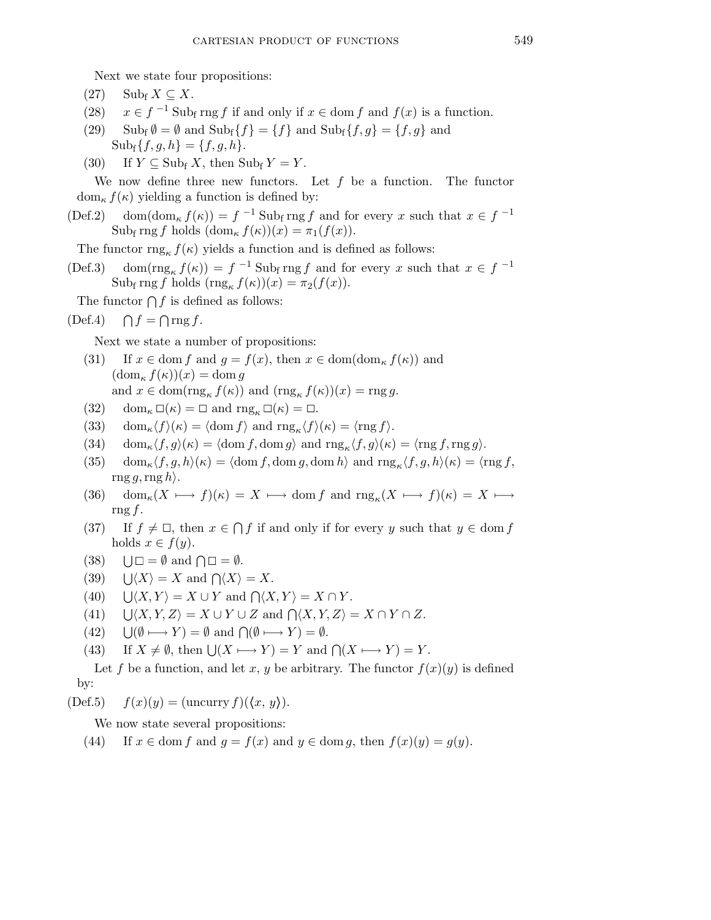Next we state four propositions:

- $(27)$  Subf  $X \subseteq X$ .
- (28)  $x \in f^{-1}$  Subf rng f if and only if  $x \in \text{dom } f$  and  $f(x)$  is a function.
- (29) Subf  $\emptyset = \emptyset$  and  $\text{Sub}_f\{f\} = \{f\}$  and  $\text{Sub}_f\{f, g\} = \{f, g\}$  and  $\text{Sub}_{f}\{f,g,h\} = \{f,g,h\}.$
- (30) If  $Y \subseteq \text{Sub}_{f} X$ , then  $\text{Sub}_{f} Y = Y$ .

We now define three new functors. Let  $f$  be a function. The functor  $dom_{\kappa} f(\kappa)$  yielding a function is defined by:

 $(\text{Def.2}) \quad \text{dom}(\text{dom}_{\kappa} f(\kappa)) = f^{-1} \text{ Sub}_{f} \text{ rng } f \text{ and for every } x \text{ such that } x \in f^{-1}$ Sub<sub>f</sub> rng f holds  $(\text{dom}_{\kappa} f(\kappa))(x) = \pi_1(f(x)).$ 

The functor  $\text{rng}_{\kappa} f(\kappa)$  yields a function and is defined as follows:

(Def.3) dom( $\text{rng}_{\kappa} f(\kappa) = f^{-1} \text{Sub}_{f} \text{rng } f$  and for every x such that  $x \in f^{-1}$ Sub<sub>f</sub> rng f holds  $(\text{rng}_{\kappa} f(\kappa))(x) = \pi_2(f(x)).$ 

The functor  $\bigcap f$  is defined as follows:

$$
(\text{Def.4}) \quad \bigcap f = \bigcap \text{rng } f.
$$

Next we state a number of propositions:

- (31) If  $x \in \text{dom } f$  and  $q = f(x)$ , then  $x \in \text{dom}(\text{dom}_\kappa f(\kappa))$  and  $(\mathrm{dom}_{\kappa} f(\kappa))(x) = \mathrm{dom}\, g$ and  $x \in \text{dom}(\text{rng}_{\kappa} f(\kappa))$  and  $(\text{rng}_{\kappa} f(\kappa))(x) = \text{rng } g$ .
- (32) dom<sub> $\kappa$ </sub>  $\square(\kappa) = \square$  and  $\text{rng}_{\kappa} \square(\kappa) = \square$ .
- (33) dom<sub> $\kappa \langle f \rangle(\kappa) = \langle \text{dom } f \rangle$  and  $\text{rng}_{\kappa} \langle f \rangle(\kappa) = \langle \text{rng } f \rangle$ .</sub>
- (34)  $\text{dom}_{\kappa} \langle f, g \rangle(\kappa) = \langle \text{dom } f, \text{dom } g \rangle \text{ and } \text{rng}_{\kappa} \langle f, g \rangle(\kappa) = \langle \text{rng } f, \text{rng } g \rangle.$
- (35)  $\operatorname{dom}_{\kappa} \langle f, g, h \rangle(\kappa) = \langle \operatorname{dom} f, \operatorname{dom} g, \operatorname{dom} h \rangle$  and  $\operatorname{rng}_{\kappa} \langle f, g, h \rangle(\kappa) = \langle \operatorname{rng} f,$  $\text{rng }g,\text{rng }h$ .
- (36) dom<sub> $\kappa$ </sub> $(X \mapsto f)(\kappa) = X \mapsto \text{dom } f$  and  $\text{rng}_{\kappa}(X \mapsto f)(\kappa) = X \mapsto$ rng  $f$ .
- (37) If  $f \neq \Box$ , then  $x \in \bigcap f$  if and only if for every y such that  $y \in \text{dom } f$ holds  $x \in f(y)$ .
- $(38)$  $\square = \emptyset$  and  $\square = \emptyset$ .
- $(39)$  $\langle X \rangle = X$  and  $\bigcap \langle X \rangle = X$ .
- $(40)$  $\langle X, Y \rangle = X \cup Y$  and  $\bigcap \langle X, Y \rangle = X \cap Y$ .
- $(41)$  $\langle X, Y, Z \rangle = X \cup Y \cup Z$  and  $\bigcap \langle X, Y, Z \rangle = X \cap Y \cap Z$ .
- $(42)$  $(\emptyset \longmapsto Y) = \emptyset$  and  $\bigcap (\emptyset \longmapsto Y) = \emptyset$ .
- (43) If  $X \neq \emptyset$ , then  $\bigcup (X \longmapsto Y) = Y$  and  $\bigcap (X \longmapsto Y) = Y$ .

Let f be a function, and let x, y be arbitrary. The functor  $f(x)(y)$  is defined by:

(Def.5)  $f(x)(y) = (\text{uncarry } f)(\langle x, y \rangle).$ 

We now state several propositions:

(44) If  $x \in \text{dom } f$  and  $g = f(x)$  and  $y \in \text{dom } g$ , then  $f(x)(y) = g(y)$ .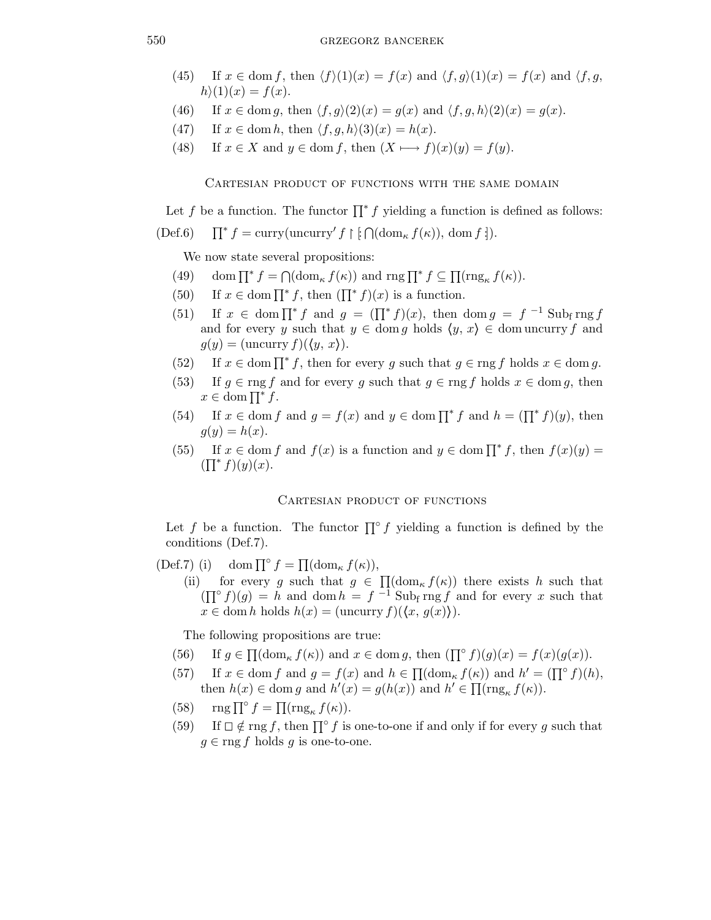## 550 grzegorz bancerek

- (45) If  $x \in \text{dom } f$ , then  $\langle f \rangle(1)(x) = f(x)$  and  $\langle f, g \rangle(1)(x) = f(x)$  and  $\langle f, g \rangle$  $h(1)(x) = f(x)$ .
- (46) If  $x \in \text{dom } g$ , then  $\langle f, g \rangle(2)(x) = g(x)$  and  $\langle f, g, h \rangle(2)(x) = g(x)$ .
- (47) If  $x \in \text{dom } h$ , then  $\langle f, g, h \rangle(3)(x) = h(x)$ .
- (48) If  $x \in X$  and  $y \in \text{dom } f$ , then  $(X \longmapsto f)(x)(y) = f(y)$ .

Cartesian product of functions with the same domain

Let f be a function. The functor  $\prod^* f$  yielding a function is defined as follows:

$$
(\text{Def.6}) \qquad \prod^* f = \text{curry}(\text{uncurry}' f \restriction [\bigcap (\text{dom}_\kappa f(\kappa)), \text{ dom } f \: \text{])}.
$$

We now state several propositions:

- (49) dom  $\prod^* f = \bigcap (\text{dom}_{\kappa} f(\kappa))$  and  $\text{rng } \prod^* f \subseteq \prod (\text{rng}_{\kappa} f(\kappa)).$
- (50) If  $x \in \text{dom }\prod^* f$ , then  $(\prod^* f)(x)$  is a function.
- (51) If  $x \in \text{dom }\prod^* f$  and  $g = (\prod^* f)(x)$ , then  $\text{dom } g = f^{-1} \text{ Sub}_{f} \text{rng } f$ and for every y such that  $y \in \text{dom } g$  holds  $\langle y, x \rangle \in \text{dom } \text{uncarry } f$  and  $g(y) = (\text{uncarry } f)((y, x)).$
- (52) If  $x \in \text{dom }\prod^* f$ , then for every g such that  $g \in \text{rng } f$  holds  $x \in \text{dom } g$ .
- (53) If  $g \in \text{rng } f$  and for every g such that  $g \in \text{rng } f$  holds  $x \in \text{dom } g$ , then  $x \in \text{dom}\prod^* f$ .
- (54) If  $x \in \text{dom } f$  and  $g = f(x)$  and  $y \in \text{dom }\prod^* f$  and  $h = (\prod^* f)(y)$ , then  $g(y) = h(x)$ .
- (55) If  $x \in \text{dom } f$  and  $f(x)$  is a function and  $y \in \text{dom }\prod^* f$ , then  $f(x)(y) =$  $(\prod^* f)(y)(x).$

## CARTESIAN PRODUCT OF FUNCTIONS

Let f be a function. The functor  $\prod^{\circ} f$  yielding a function is defined by the conditions (Def.7).

(Def.7) (i) dom  $\prod^{\circ} f = \prod (\text{dom}_{\kappa} f(\kappa)),$ (ii) for every g such that  $g \in \Pi(\text{dom}_{\kappa} f(\kappa))$  there exists h such that  $(\prod^{\circ} f)(g) = h$  and dom  $h = f^{-1}$  Subf rng f and for every x such that  $x \in \text{dom } h \text{ holds } h(x) = (\text{uncarry } f)((x, g(x))).$ 

The following propositions are true:

- (56) If  $g \in \prod(\mathrm{dom}_{\kappa} f(\kappa))$  and  $x \in \mathrm{dom} g$ , then  $(\prod^{\circ} f)(g)(x) = f(x)(g(x)).$
- (57) If  $x \in \text{dom } f$  and  $g = f(x)$  and  $h \in \prod(\text{dom}_{\kappa} f(\kappa))$  and  $h' = (\prod^{\circ} f)(h)$ , then  $h(x) \in \text{dom } g$  and  $h'(x) = g(h(x))$  and  $h' \in \prod(\text{rng}_{\kappa} f(\kappa)).$
- (58)  $\text{rng }\prod^{\circ} f = \prod(\text{rng}_{\kappa} f(\kappa)).$
- (59) If  $\Box \notin \text{rng } f$ , then  $\prod^{\circ} f$  is one-to-one if and only if for every g such that  $g \in \text{rng } f$  holds g is one-to-one.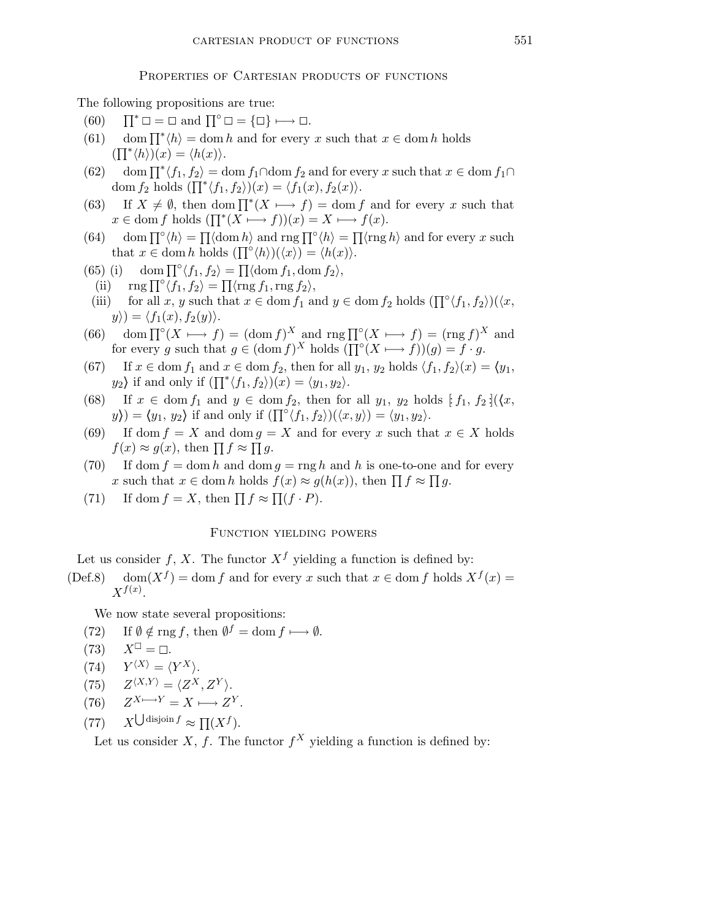### PROPERTIES OF CARTESIAN PRODUCTS OF FUNCTIONS

The following propositions are true:

- $(60)$  $\square = \square$  and  $\prod^{\circ} \square = {\square} \longmapsto \square$ .
- (61) dom  $\prod^* \langle h \rangle = \text{dom } h$  and for every x such that  $x \in \text{dom } h$  holds  $(\prod^* \langle h \rangle)(x) = \langle h(x) \rangle.$
- (62) dom  $\prod^* \langle f_1, f_2 \rangle = \text{dom } f_1 \cap \text{dom } f_2$  and for every x such that  $x \in \text{dom } f_1 \cap$ dom  $f_2$  holds  $(\prod^* \langle f_1, f_2 \rangle)(x) = \langle f_1(x), f_2(x) \rangle.$
- (63) If  $X \neq \emptyset$ , then dom  $\prod^* (X \mapsto f) = \text{dom } f$  and for every x such that  $x \in \text{dom } f \text{ holds } (\prod^* (X \longmapsto f))(x) = X \longmapsto f(x).$
- (64) dom  $\prod^{\circ} \langle h \rangle = \prod \langle \text{dom } h \rangle$  and  $\text{rng } \prod^{\circ} \langle h \rangle = \prod \langle \text{rng } h \rangle$  and for every x such that  $x \in \text{dom } h$  holds  $(\prod^{\circ} \langle h \rangle)(\langle x \rangle) = \langle h(x) \rangle$ .
- (65) (i) dom  $\prod^{\circ} \langle f_1, f_2 \rangle = \prod \langle \text{dom } f_1, \text{dom } f_2 \rangle$ ,
	- (ii)  $\text{rng } \prod^{\circ} \langle f_1, f_2 \rangle = \prod \langle \text{rng } f_1, \text{rng } f_2 \rangle,$
- (iii) for all x, y such that  $x \in \text{dom } f_1$  and  $y \in \text{dom } f_2$  holds  $(\prod^{\circ} \langle f_1, f_2 \rangle)(\langle x, f_1 \rangle)$  $y\rangle = \langle f_1(x), f_2(y)\rangle.$
- (66) dom  $\prod^{\circ}(X \mapsto f) = (\text{dom } f)^X$  and  $\text{rng } \prod^{\circ}(X \mapsto f) = (\text{rng } f)^X$  and for every g such that  $g \in (\text{dom } f)^X$  holds  $(\prod^{\circ}(X \mapsto f))(g) = f \cdot g$ .
- (67) If  $x \in \text{dom } f_1$  and  $x \in \text{dom } f_2$ , then for all  $y_1, y_2$  holds  $\langle f_1, f_2 \rangle(x) = \langle y_1,$  $y_2$ ) if and only if  $(\prod^* \langle f_1, f_2 \rangle)(x) = \langle y_1, y_2 \rangle$ .
- (68) If  $x \in \text{dom } f_1$  and  $y \in \text{dom } f_2$ , then for all  $y_1, y_2$  holds  $[f_1, f_2](\langle x, \rangle)$  $y\rangle = \langle y_1, y_2 \rangle$  if and only if  $(\prod^{\circ} \langle f_1, f_2 \rangle)(\langle x, y \rangle) = \langle y_1, y_2 \rangle$ .
- (69) If dom  $f = X$  and dom  $g = X$  and for every x such that  $x \in X$  holds  $f(x) \approx g(x)$ , then  $\prod f \approx \prod g$ .
- (70) If dom  $f = \text{dom } h$  and dom  $q = \text{rng } h$  and h is one-to-one and for every x such that  $x \in \text{dom } h$  holds  $f(x) \approx g(h(x))$ , then  $\prod f \approx \prod g$ .
- (71) If dom  $f = X$ , then  $\prod f \approx \prod (f \cdot P)$ .

# Function yielding powers

Let us consider f, X. The functor  $X^f$  yielding a function is defined by:

(Def.8) dom $(X^f)$  = dom f and for every x such that  $x \in$  dom f holds  $X^f(x)$  =  $X^{f(x)}$ .

We now state several propositions:

- (72) If  $\emptyset \notin \text{rng } f$ , then  $\emptyset^f = \text{dom } f \longmapsto \emptyset$ .
- $(73)$  $=$   $\Box$ .
- $(Y^{\langle X \rangle} = \langle Y^X \rangle$ .
- $(75)$  $\langle X,Y\rangle = \langle Z^X,Z^Y\rangle.$
- $(76)$  $X \rightarrow Y = X \rightarrow Z^Y.$
- $(77)$  $\bigcup$  disjoin  $f \approx \prod (X^f)$ .

Let us consider X, f. The functor  $f^X$  yielding a function is defined by: